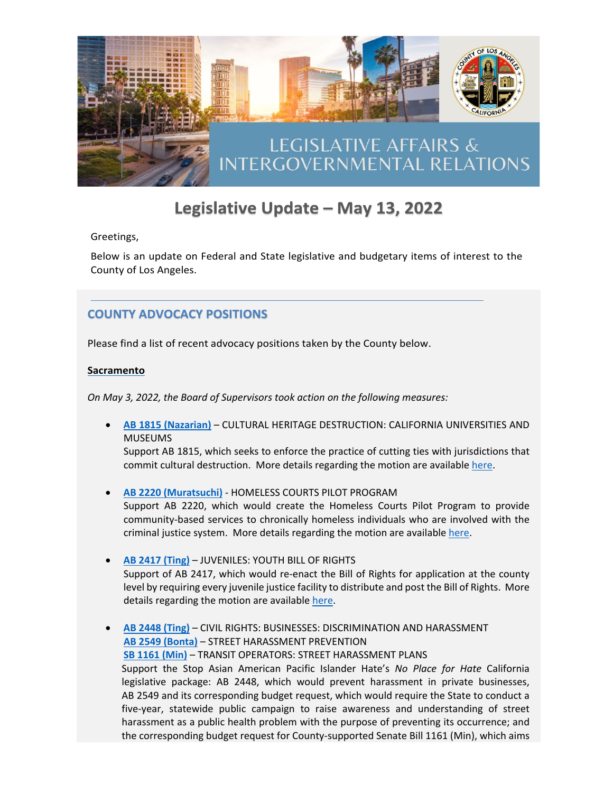

# Legislative Update - May 13, 2022

Greetings,

Below is an update on Federal and State legislative and budgetary items of interest to the County of Los Angeles.

## **COUNTY ADVOCACY POSITIONS**

Please find a list of recent advocacy positions taken by the County below.

#### **Sacramento**

*On May 3, 2022, the Board of Supervisors took action on the following measures:*

• **AB 1815 [\(Nazarian\)](https://leginfo.legislature.ca.gov/faces/billNavClient.xhtml?bill_id=202120220AB1815)** – CULTURAL HERITAGE DESTRUCTION: CALIFORNIA UNIVERSITIES AND MUSEUMS

Support AB 1815, which seeks to enforce the practice of cutting ties with jurisdictions that commit cultural destruction. More details regarding the motion are availabl[e here.](http://file.lacounty.gov/SDSInter/bos/supdocs/168653.pdf)

- **[AB 2220 \(Muratsuchi\)](https://leginfo.legislature.ca.gov/faces/billNavClient.xhtml?bill_id=202120220AB2220)** HOMELESS COURTS PILOT PROGRAM Support AB 2220, which would create the Homeless Courts Pilot Program to provide community-based services to chronically homeless individuals who are involved with the criminal justice system. More details regarding the motion are available [here.](http://file.lacounty.gov/SDSInter/bos/supdocs/168613.pdf)
- **[AB 2417 \(Ting\)](https://leginfo.legislature.ca.gov/faces/billNavClient.xhtml?bill_id=202120220AB2417)** JUVENILES: YOUTH BILL OF RIGHTS Support of AB 2417, which would re-enact the Bill of Rights for application at the county level by requiring every juvenile justice facility to distribute and post the Bill of Rights. More details regarding the motion are available [here.](http://file.lacounty.gov/SDSInter/bos/supdocs/168618.pdf)
- **[AB 2448 \(Ting\)](https://leginfo.legislature.ca.gov/faces/billNavClient.xhtml?bill_id=202120220AB2448)** CIVIL RIGHTS: BUSINESSES: DISCRIMINATION AND HARASSMENT **[AB 2549 \(Bonta\)](https://leginfo.legislature.ca.gov/faces/billNavClient.xhtml?bill_id=202120220AB2549)** – STREET HARASSMENT PREVENTION **[SB 1161 \(Min\)](https://leginfo.legislature.ca.gov/faces/billNavClient.xhtml?bill_id=202120220SB1161)** – TRANSIT OPERATORS: STREET HARASSMENT PLANS Support the Stop Asian American Pacific Islander Hate's *No Place for Hate* California legislative package: AB 2448, which would prevent harassment in private businesses, AB 2549 and its corresponding budget request, which would require the State to conduct a five-year, statewide public campaign to raise awareness and understanding of street harassment as a public health problem with the purpose of preventing its occurrence; and the corresponding budget request for County-supported Senate Bill 1161 (Min), which aims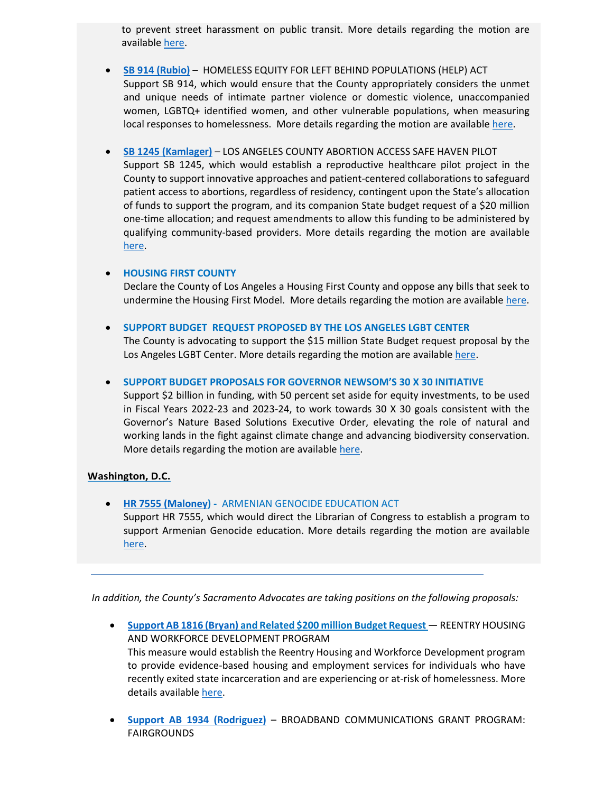to prevent street harassment on public transit. More details regarding the motion are availabl[e here.](http://file.lacounty.gov/SDSInter/bos/supdocs/168592.pdf)

- **[SB 914 \(Rubio\)](https://leginfo.legislature.ca.gov/faces/billNavClient.xhtml?bill_id=202120220SB914)** HOMELESS EQUITY FOR LEFT BEHIND POPULATIONS (HELP) ACT Support SB 914, which would ensure that the County appropriately considers the unmet and unique needs of intimate partner violence or domestic violence, unaccompanied women, LGBTQ+ identified women, and other vulnerable populations, when measuring local responses to homelessness. More details regarding the motion are available [here.](http://file.lacounty.gov/SDSInter/bos/supdocs/168741.pdf)
- **SB 1245 [\(Kamlager\)](https://leginfo.legislature.ca.gov/faces/billNavClient.xhtml?bill_id=202120220SB1245)** LOS ANGELES COUNTY ABORTION ACCESS SAFE HAVEN PILOT Support SB 1245, which would establish a reproductive healthcare pilot project in the County to support innovative approaches and patient-centered collaborations to safeguard patient access to abortions, regardless of residency, contingent upon the State's allocation of funds to support the program, and its companion State budget request of a \$20 million one-time allocation; and request amendments to allow this funding to be administered by qualifying community-based providers. More details regarding the motion are available [here.](http://file.lacounty.gov/SDSInter/bos/supdocs/168637.pdf)

#### • **HOUSING FIRST COUNTY**

Declare the County of Los Angeles a Housing First County and oppose any bills that seek to undermine the Housing First Model. More details regarding the motion are availabl[e here.](http://file.lacounty.gov/SDSInter/bos/supdocs/168753.pdf)

• **SUPPORT BUDGET REQUEST PROPOSED BY THE LOS ANGELES LGBT CENTER**

The County is advocating to support the \$15 million State Budget request proposal by the Los Angeles LGBT Center. More details regarding the motion are available [here.](http://file.lacounty.gov/SDSInter/bos/supdocs/168611.pdf)

• **SUPPORT BUDGET PROPOSALS FOR GOVERNOR NEWSOM'S 30 X 30 INITIATIVE**

Support \$2 billion in funding, with 50 percent set aside for equity investments, to be used in Fiscal Years 2022-23 and 2023-24, to work towards 30 X 30 goals consistent with the Governor's Nature Based Solutions Executive Order, elevating the role of natural and working lands in the fight against climate change and advancing biodiversity conservation. More details regarding the motion are available [here.](http://file.lacounty.gov/SDSInter/bos/supdocs/168736.pdf)

#### **Washington, D.C.**

• **[HR 7555 \(Maloney\)](https://www.congress.gov/bill/117th-congress/house-bill/7555?q=%7B%22search%22%3A%5B%22hr7555%22%2C%22hr7555%22%5D%7D&s=1&r=1) -** ARMENIAN GENOCIDE EDUCATION ACT

Support HR 7555, which would direct the Librarian of Congress to establish a program to support Armenian Genocide education. More details regarding the motion are available [here.](http://file.lacounty.gov/SDSInter/bos/supdocs/168633.pdf)

*In addition, the County's Sacramento Advocates are taking positions on the following proposals:* 

- **[Support AB 1816 \(Bryan\)](https://leginfo.legislature.ca.gov/faces/billNavClient.xhtml?bill_id=202120220AB1816) and Related \$200 million Budget Request** REENTRY HOUSING AND WORKFORCE DEVELOPMENT PROGRAM This measure would establish the Reentry Housing and Workforce Development program to provide evidence-based housing and employment services for individuals who have recently exited state incarceration and are experiencing or at-risk of homelessness. More details available [here.](http://file.lacounty.gov/SDSInter/ceo/legi/1123706_eblast_AB2381_SB1127_SB1287_SB1313_Attachment.pdf)
- **[Support AB 1934 \(Rodriguez\)](https://leginfo.legislature.ca.gov/faces/billNavClient.xhtml?bill_id=202120220AB1934)** BROADBAND COMMUNICATIONS GRANT PROGRAM: FAIRGROUNDS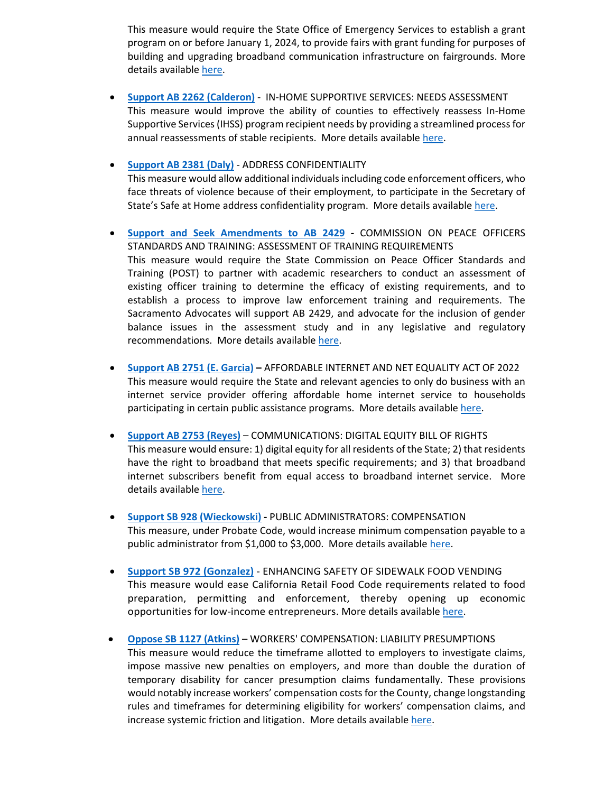This measure would require the State Office of Emergency Services to establish a grant program on or before January 1, 2024, to provide fairs with grant funding for purposes of building and upgrading broadband communication infrastructure on fairgrounds. More details available [here.](http://file.lacounty.gov/SDSInter/ceo/legi/1123706_eblast_AB2381_SB1127_SB1287_SB1313_Attachment.pdf) 

- **[Support AB 2262 \(Calderon\)](https://leginfo.legislature.ca.gov/faces/billNavClient.xhtml?bill_id=202120220AB2262)** IN-HOME SUPPORTIVE SERVICES: NEEDS ASSESSMENT This measure would improve the ability of counties to effectively reassess In-Home Supportive Services (IHSS) program recipient needs by providing a streamlined process for annual reassessments of stable recipients. More details available [here.](http://file.lacounty.gov/SDSInter/ceo/legi/1123830_ebalst_AB2262_SB928_SB107_Attachment_5-3-22.pdf)
- **[Support AB 2381 \(Daly\)](https://leginfo.legislature.ca.gov/faces/billNavClient.xhtml?bill_id=202120220AB2381)** ADDRESS CONFIDENTIALITY This measure would allow additional individuals including code enforcement officers, who face threats of violence because of their employment, to participate in the Secretary of State's Safe at Home address confidentiality program. More details available [here.](http://file.lacounty.gov/SDSInter/ceo/legi/1123706_eblast_AB2381_SB1127_SB1287_SB1313_Attachment.pdf)
- **[Support and Seek Amendments to AB 2429](https://leginfo.legislature.ca.gov/faces/billNavClient.xhtml?bill_id=202120220AB2429) -** COMMISSION ON PEACE OFFICERS STANDARDS AND TRAINING: ASSESSMENT OF TRAINING REQUIREMENTS This measure would require the State Commission on Peace Officer Standards and Training (POST) to partner with academic researchers to conduct an assessment of existing officer training to determine the efficacy of existing requirements, and to establish a process to improve law enforcement training and requirements. The Sacramento Advocates will support AB 2429, and advocate for the inclusion of gender balance issues in the assessment study and in any legislative and regulatory recommendations. More details available [here.](http://file.lacounty.gov/SDSInter/ceo/legi/1124260_Sacramento_PursuitofCountyAdvocacyPositiononStateLegislationRelatedtoPeaceOfficerTrainingRequirements-5_6_22.pdf)
- **[Support AB 2751 \(E. Garcia\)](https://leginfo.legislature.ca.gov/faces/billNavClient.xhtml?bill_id=202120220AB2751) –** AFFORDABLE INTERNET AND NET EQUALITY ACT OF 2022 This measure would require the State and relevant agencies to only do business with an internet service provider offering affordable home internet service to households participating in certain public assistance programs. More details available [here.](http://file.lacounty.gov/SDSInter/ceo/legi/1123706_eblast_AB2381_SB1127_SB1287_SB1313_Attachment.pdf)
- **[Support AB 2753 \(Reyes\)](https://leginfo.legislature.ca.gov/faces/billNavClient.xhtml?bill_id=202120220AB2753)** COMMUNICATIONS: DIGITAL EQUITY BILL OF RIGHTS This measure would ensure: 1) digital equity for all residents of the State; 2) that residents have the right to broadband that meets specific requirements; and 3) that broadband internet subscribers benefit from equal access to broadband internet service. More details available [here.](http://file.lacounty.gov/SDSInter/ceo/legi/1123706_eblast_AB2381_SB1127_SB1287_SB1313_Attachment.pdf)
- **[Support SB 928 \(Wieckowski\)](https://leginfo.legislature.ca.gov/faces/billNavClient.xhtml?bill_id=202120220SB928) -** PUBLIC ADMINISTRATORS: COMPENSATION This measure, under Probate Code, would increase minimum compensation payable to a public administrator from \$1,000 to \$3,000. More details available [here.](http://file.lacounty.gov/SDSInter/ceo/legi/1123830_ebalst_AB2262_SB928_SB107_Attachment_5-3-22.pdf)
- **[Support SB 972 \(Gonzalez\)](https://leginfo.legislature.ca.gov/faces/billNavClient.xhtml?bill_id=202120220SB972)** ENHANCING SAFETY OF SIDEWALK FOOD VENDING This measure would ease California Retail Food Code requirements related to food preparation, permitting and enforcement, thereby opening up economic opportunities for low-income entrepreneurs. More details available [here.](http://file.lacounty.gov/SDSInter/ceo/legi/1123706_eblast_AB2381_SB1127_SB1287_SB1313_Attachment.pdf)
- **[Oppose SB 1127 \(Atkins\)](https://leginfo.legislature.ca.gov/faces/billNavClient.xhtml?bill_id=202120220SB1127)** WORKERS' COMPENSATION: LIABILITY PRESUMPTIONS This measure would reduce the timeframe allotted to employers to investigate claims, impose massive new penalties on employers, and more than double the duration of temporary disability for cancer presumption claims fundamentally. These provisions would notably increase workers' compensation costs for the County, change longstanding rules and timeframes for determining eligibility for workers' compensation claims, and increase systemic friction and litigation. More details available [here.](http://file.lacounty.gov/SDSInter/ceo/legi/1123706_eblast_AB2381_SB1127_SB1287_SB1313_Attachment.pdf)